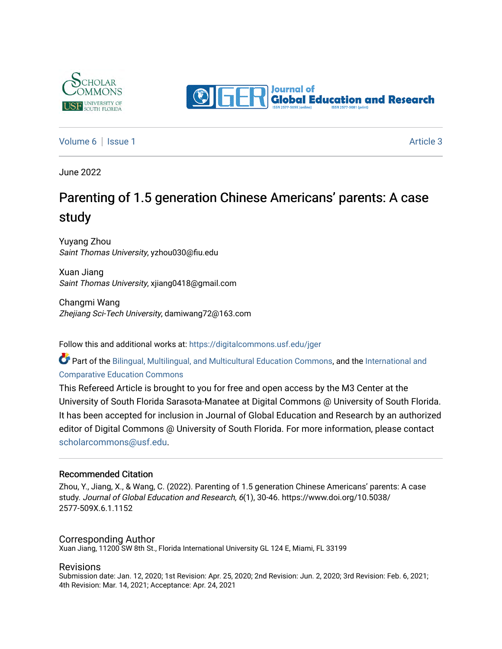



[Volume 6](https://digitalcommons.usf.edu/jger/vol6) | [Issue 1](https://digitalcommons.usf.edu/jger/vol6/iss1) Article 3

June 2022

# Parenting of 1.5 generation Chinese Americans' parents: A case study

Yuyang Zhou Saint Thomas University, yzhou030@fiu.edu

Xuan Jiang Saint Thomas University, xjiang0418@gmail.com

Changmi Wang Zhejiang Sci-Tech University, damiwang72@163.com

Follow this and additional works at: [https://digitalcommons.usf.edu/jger](https://digitalcommons.usf.edu/jger?utm_source=digitalcommons.usf.edu%2Fjger%2Fvol6%2Fiss1%2F3&utm_medium=PDF&utm_campaign=PDFCoverPages) 

Part of the [Bilingual, Multilingual, and Multicultural Education Commons,](http://network.bepress.com/hgg/discipline/785?utm_source=digitalcommons.usf.edu%2Fjger%2Fvol6%2Fiss1%2F3&utm_medium=PDF&utm_campaign=PDFCoverPages) and the [International and](http://network.bepress.com/hgg/discipline/797?utm_source=digitalcommons.usf.edu%2Fjger%2Fvol6%2Fiss1%2F3&utm_medium=PDF&utm_campaign=PDFCoverPages)  [Comparative Education Commons](http://network.bepress.com/hgg/discipline/797?utm_source=digitalcommons.usf.edu%2Fjger%2Fvol6%2Fiss1%2F3&utm_medium=PDF&utm_campaign=PDFCoverPages) 

This Refereed Article is brought to you for free and open access by the M3 Center at the University of South Florida Sarasota-Manatee at Digital Commons @ University of South Florida. It has been accepted for inclusion in Journal of Global Education and Research by an authorized editor of Digital Commons @ University of South Florida. For more information, please contact [scholarcommons@usf.edu.](mailto:scholarcommons@usf.edu)

#### Recommended Citation

Zhou, Y., Jiang, X., & Wang, C. (2022). Parenting of 1.5 generation Chinese Americans' parents: A case study. Journal of Global Education and Research, 6(1), 30-46. https://www.doi.org/10.5038/ 2577-509X.6.1.1152

#### Corresponding Author

Xuan Jiang, 11200 SW 8th St., Florida International University GL 124 E, Miami, FL 33199

#### Revisions

Submission date: Jan. 12, 2020; 1st Revision: Apr. 25, 2020; 2nd Revision: Jun. 2, 2020; 3rd Revision: Feb. 6, 2021; 4th Revision: Mar. 14, 2021; Acceptance: Apr. 24, 2021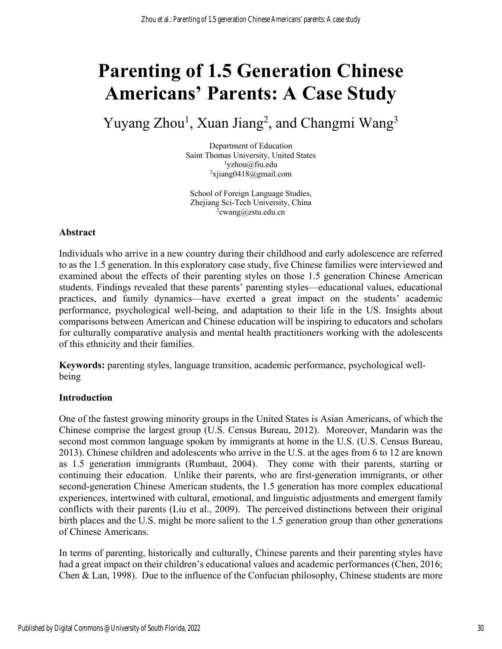# **Parenting of 1.5 Generation Chinese Americans' Parents: A Case Study**

Yuyang Zhou<sup>1</sup>, Xuan Jiang<sup>2</sup>, and Changmi Wang<sup>3</sup>

Department of Education Saint Thomas University, United States <sup>1</sup>yzhou@fiu.edu 2 xjiang0418@gmail.com

School of Foreign Language Studies, Zhejiang Sci-Tech University, China  $3$ cwang@zstu.edu.cn

### **Abstract**

Individuals who arrive in a new country during their childhood and early adolescence are referred to as the 1.5 generation. In this exploratory case study, five Chinese families were interviewed and examined about the effects of their parenting styles on those 1.5 generation Chinese American students. Findings revealed that these parents' parenting styles—educational values, educational practices, and family dynamics—have exerted a great impact on the students' academic performance, psychological well-being, and adaptation to their life in the US. Insights about comparisons between American and Chinese education will be inspiring to educators and scholars for culturally comparative analysis and mental health practitioners working with the adolescents of this ethnicity and their families.

**Keywords:** parenting styles, language transition, academic performance, psychological wellbeing

#### **Introduction**

One of the fastest growing minority groups in the United States is Asian Americans, of which the Chinese comprise the largest group (U.S. Census Bureau, 2012). Moreover, Mandarin was the second most common language spoken by immigrants at home in the U.S. (U.S. Census Bureau, 2013). Chinese children and adolescents who arrive in the U.S. at the ages from 6 to 12 are known as 1.5 generation immigrants (Rumbaut, 2004). They come with their parents, starting or continuing their education. Unlike their parents, who are first-generation immigrants, or other second-generation Chinese American students, the 1.5 generation has more complex educational experiences, intertwined with cultural, emotional, and linguistic adjustments and emergent family conflicts with their parents (Liu et al., 2009). The perceived distinctions between their original birth places and the U.S. might be more salient to the 1.5 generation group than other generations of Chinese Americans.

In terms of parenting, historically and culturally, Chinese parents and their parenting styles have had a great impact on their children's educational values and academic performances (Chen, 2016; Chen & Lan, 1998). Due to the influence of the Confucian philosophy, Chinese students are more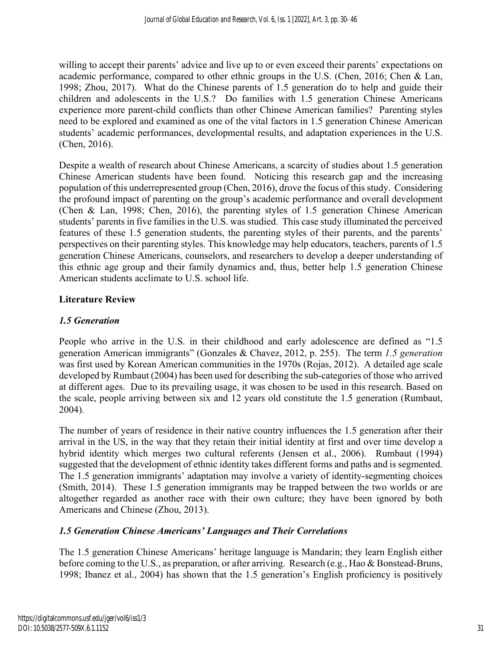willing to accept their parents' advice and live up to or even exceed their parents' expectations on academic performance, compared to other ethnic groups in the U.S. (Chen, 2016; Chen & Lan, 1998; Zhou, 2017). What do the Chinese parents of 1.5 generation do to help and guide their children and adolescents in the U.S.? Do families with 1.5 generation Chinese Americans experience more parent-child conflicts than other Chinese American families? Parenting styles need to be explored and examined as one of the vital factors in 1.5 generation Chinese American students' academic performances, developmental results, and adaptation experiences in the U.S. (Chen, 2016).

Despite a wealth of research about Chinese Americans, a scarcity of studies about 1.5 generation Chinese American students have been found. Noticing this research gap and the increasing population of this underrepresented group (Chen, 2016), drove the focus of this study. Considering the profound impact of parenting on the group's academic performance and overall development (Chen & Lan, 1998; Chen, 2016), the parenting styles of 1.5 generation Chinese American students' parents in five families in the U.S. was studied. This case study illuminated the perceived features of these 1.5 generation students, the parenting styles of their parents, and the parents' perspectives on their parenting styles. This knowledge may help educators, teachers, parents of 1.5 generation Chinese Americans, counselors, and researchers to develop a deeper understanding of this ethnic age group and their family dynamics and, thus, better help 1.5 generation Chinese American students acclimate to U.S. school life.

# **Literature Review**

# *1.5 Generation*

People who arrive in the U.S. in their childhood and early adolescence are defined as "1.5 generation American immigrants" (Gonzales & Chavez, 2012, p. 255). The term *1.5 generation* was first used by Korean American communities in the 1970s (Rojas, 2012). A detailed age scale developed by Rumbaut (2004) has been used for describing the sub-categories of those who arrived at different ages. Due to its prevailing usage, it was chosen to be used in this research. Based on the scale, people arriving between six and 12 years old constitute the 1.5 generation (Rumbaut, 2004).

The number of years of residence in their native country influences the 1.5 generation after their arrival in the US, in the way that they retain their initial identity at first and over time develop a hybrid identity which merges two cultural referents (Jensen et al., 2006). Rumbaut (1994) suggested that the development of ethnic identity takes different forms and paths and is segmented. The 1.5 generation immigrants' adaptation may involve a variety of identity-segmenting choices (Smith, 2014). These 1.5 generation immigrants may be trapped between the two worlds or are altogether regarded as another race with their own culture; they have been ignored by both Americans and Chinese (Zhou, 2013).

# *1.5 Generation Chinese Americans' Languages and Their Correlations*

The 1.5 generation Chinese Americans' heritage language is Mandarin; they learn English either before coming to the U.S., as preparation, or after arriving. Research (e.g., Hao & Bonstead-Bruns, 1998; Ibanez et al., 2004) has shown that the 1.5 generation's English proficiency is positively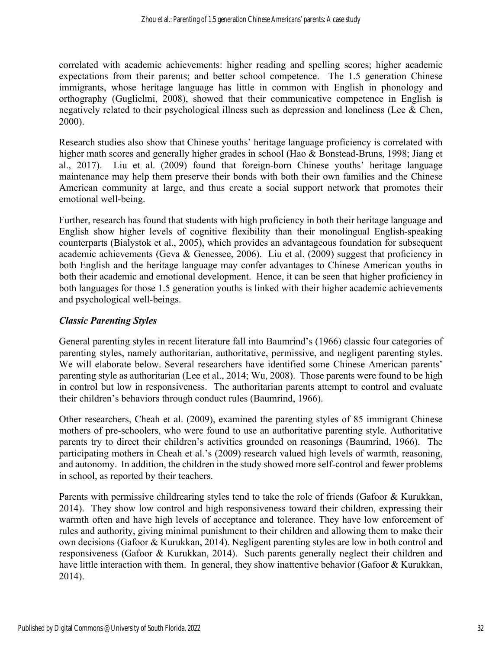correlated with academic achievements: higher reading and spelling scores; higher academic expectations from their parents; and better school competence. The 1.5 generation Chinese immigrants, whose heritage language has little in common with English in phonology and orthography (Guglielmi, 2008), showed that their communicative competence in English is negatively related to their psychological illness such as depression and loneliness (Lee & Chen, 2000).

Research studies also show that Chinese youths' heritage language proficiency is correlated with higher math scores and generally higher grades in school (Hao & Bonstead-Bruns, 1998; Jiang et al., 2017). Liu et al. (2009) found that foreign-born Chinese youths' heritage language maintenance may help them preserve their bonds with both their own families and the Chinese American community at large, and thus create a social support network that promotes their emotional well-being.

Further, research has found that students with high proficiency in both their heritage language and English show higher levels of cognitive flexibility than their monolingual English-speaking counterparts (Bialystok et al., 2005), which provides an advantageous foundation for subsequent academic achievements (Geva & Genessee, 2006). Liu et al. (2009) suggest that proficiency in both English and the heritage language may confer advantages to Chinese American youths in both their academic and emotional development. Hence, it can be seen that higher proficiency in both languages for those 1.5 generation youths is linked with their higher academic achievements and psychological well-beings.

# *Classic Parenting Styles*

General parenting styles in recent literature fall into Baumrind's (1966) classic four categories of parenting styles, namely authoritarian, authoritative, permissive, and negligent parenting styles. We will elaborate below. Several researchers have identified some Chinese American parents' parenting style as authoritarian (Lee et al., 2014; Wu, 2008). Those parents were found to be high in control but low in responsiveness. The authoritarian parents attempt to control and evaluate their children's behaviors through conduct rules (Baumrind, 1966).

Other researchers, Cheah et al. (2009), examined the parenting styles of 85 immigrant Chinese mothers of pre-schoolers, who were found to use an authoritative parenting style. Authoritative parents try to direct their children's activities grounded on reasonings (Baumrind, 1966). The participating mothers in Cheah et al.'s (2009) research valued high levels of warmth, reasoning, and autonomy. In addition, the children in the study showed more self-control and fewer problems in school, as reported by their teachers.

Parents with permissive childrearing styles tend to take the role of friends (Gafoor & Kurukkan, 2014). They show low control and high responsiveness toward their children, expressing their warmth often and have high levels of acceptance and tolerance. They have low enforcement of rules and authority, giving minimal punishment to their children and allowing them to make their own decisions (Gafoor & Kurukkan, 2014). Negligent parenting styles are low in both control and responsiveness (Gafoor & Kurukkan, 2014). Such parents generally neglect their children and have little interaction with them. In general, they show inattentive behavior (Gafoor & Kurukkan, 2014).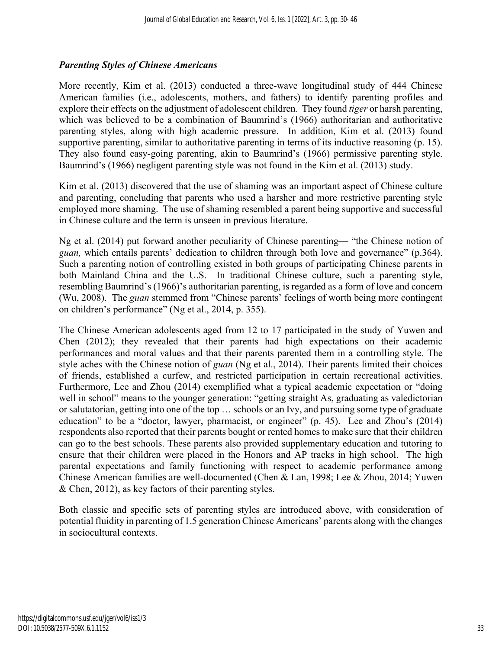# *Parenting Styles of Chinese Americans*

More recently, Kim et al. (2013) conducted a three-wave longitudinal study of 444 Chinese American families (i.e., adolescents, mothers, and fathers) to identify parenting profiles and explore their effects on the adjustment of adolescent children. They found *tiger* or harsh parenting, which was believed to be a combination of Baumrind's (1966) authoritarian and authoritative parenting styles, along with high academic pressure. In addition, Kim et al. (2013) found supportive parenting, similar to authoritative parenting in terms of its inductive reasoning (p. 15). They also found easy-going parenting, akin to Baumrind's (1966) permissive parenting style. Baumrind's (1966) negligent parenting style was not found in the Kim et al. (2013) study.

Kim et al. (2013) discovered that the use of shaming was an important aspect of Chinese culture and parenting, concluding that parents who used a harsher and more restrictive parenting style employed more shaming. The use of shaming resembled a parent being supportive and successful in Chinese culture and the term is unseen in previous literature.

Ng et al. (2014) put forward another peculiarity of Chinese parenting— "the Chinese notion of *guan,* which entails parents' dedication to children through both love and governance" (p.364). Such a parenting notion of controlling existed in both groups of participating Chinese parents in both Mainland China and the U.S. In traditional Chinese culture, such a parenting style, resembling Baumrind's (1966)'s authoritarian parenting, is regarded as a form of love and concern (Wu, 2008). The *guan* stemmed from "Chinese parents' feelings of worth being more contingent on children's performance" (Ng et al., 2014, p. 355).

The Chinese American adolescents aged from 12 to 17 participated in the study of Yuwen and Chen (2012); they revealed that their parents had high expectations on their academic performances and moral values and that their parents parented them in a controlling style. The style aches with the Chinese notion of *guan* (Ng et al., 2014). Their parents limited their choices of friends, established a curfew, and restricted participation in certain recreational activities. Furthermore, Lee and Zhou (2014) exemplified what a typical academic expectation or "doing well in school" means to the younger generation: "getting straight As, graduating as valedictorian or salutatorian, getting into one of the top … schools or an Ivy, and pursuing some type of graduate education" to be a "doctor, lawyer, pharmacist, or engineer" (p. 45). Lee and Zhou's (2014) respondents also reported that their parents bought or rented homes to make sure that their children can go to the best schools. These parents also provided supplementary education and tutoring to ensure that their children were placed in the Honors and AP tracks in high school. The high parental expectations and family functioning with respect to academic performance among Chinese American families are well-documented (Chen & Lan, 1998; Lee & Zhou, 2014; Yuwen & Chen, 2012), as key factors of their parenting styles.

Both classic and specific sets of parenting styles are introduced above, with consideration of potential fluidity in parenting of 1.5 generation Chinese Americans' parents along with the changes in sociocultural contexts.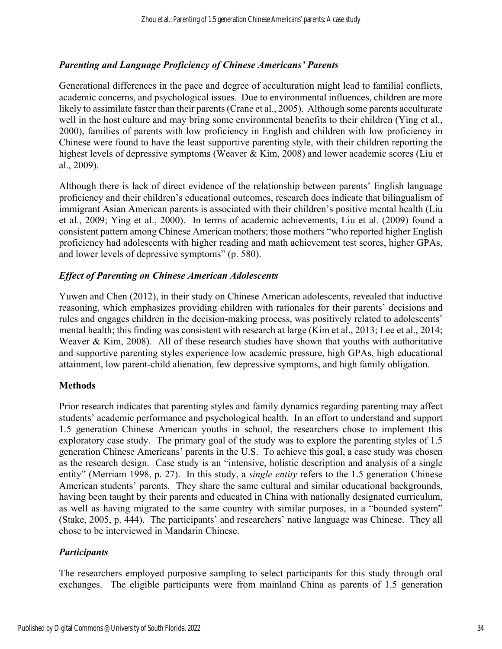# *Parenting and Language Proficiency of Chinese Americans' Parents*

Generational differences in the pace and degree of acculturation might lead to familial conflicts, academic concerns, and psychological issues. Due to environmental influences, children are more likely to assimilate faster than their parents (Crane et al., 2005). Although some parents acculturate well in the host culture and may bring some environmental benefits to their children (Ying et al., 2000), families of parents with low proficiency in English and children with low proficiency in Chinese were found to have the least supportive parenting style, with their children reporting the highest levels of depressive symptoms (Weaver & Kim, 2008) and lower academic scores (Liu et al., 2009).

Although there is lack of direct evidence of the relationship between parents' English language proficiency and their children's educational outcomes, research does indicate that bilingualism of immigrant Asian American parents is associated with their children's positive mental health (Liu et al., 2009; Ying et al., 2000). In terms of academic achievements, Liu et al. (2009) found a consistent pattern among Chinese American mothers; those mothers "who reported higher English proficiency had adolescents with higher reading and math achievement test scores, higher GPAs, and lower levels of depressive symptoms" (p. 580).

# *Effect of Parenting on Chinese American Adolescents*

Yuwen and Chen (2012), in their study on Chinese American adolescents, revealed that inductive reasoning, which emphasizes providing children with rationales for their parents' decisions and rules and engages children in the decision-making process, was positively related to adolescents' mental health; this finding was consistent with research at large (Kim et al., 2013; Lee et al., 2014; Weaver & Kim, 2008). All of these research studies have shown that youths with authoritative and supportive parenting styles experience low academic pressure, high GPAs, high educational attainment, low parent-child alienation, few depressive symptoms, and high family obligation.

# **Methods**

Prior research indicates that parenting styles and family dynamics regarding parenting may affect students' academic performance and psychological health. In an effort to understand and support 1.5 generation Chinese American youths in school, the researchers chose to implement this exploratory case study. The primary goal of the study was to explore the parenting styles of 1.5 generation Chinese Americans' parents in the U.S. To achieve this goal, a case study was chosen as the research design. Case study is an "intensive, holistic description and analysis of a single entity" (Merriam 1998, p. 27). In this study, a *single entity* refers to the 1.5 generation Chinese American students' parents. They share the same cultural and similar educational backgrounds, having been taught by their parents and educated in China with nationally designated curriculum, as well as having migrated to the same country with similar purposes, in a "bounded system" (Stake, 2005, p. 444). The participants' and researchers' native language was Chinese. They all chose to be interviewed in Mandarin Chinese.

# *Participants*

The researchers employed purposive sampling to select participants for this study through oral exchanges. The eligible participants were from mainland China as parents of 1.5 generation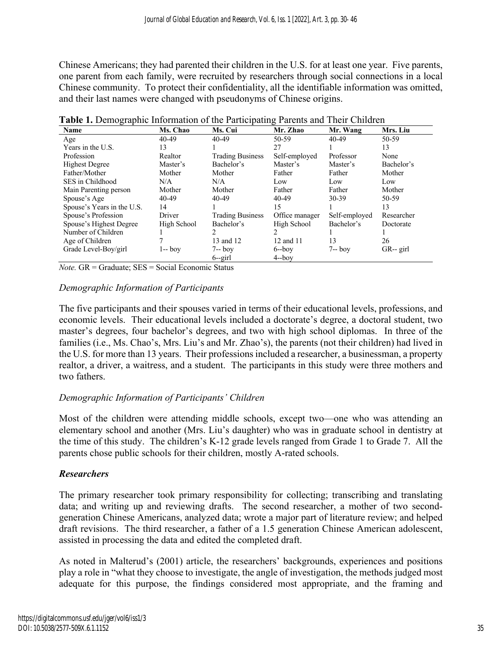Chinese Americans; they had parented their children in the U.S. for at least one year. Five parents, one parent from each family, were recruited by researchers through social connections in a local Chinese community. To protect their confidentiality, all the identifiable information was omitted, and their last names were changed with pseudonyms of Chinese origins.

| Name                       | Ms. Chao    | Ms. Cui                 | Mr. Zhao       | Mr. Wang      | Mrs. Liu   |
|----------------------------|-------------|-------------------------|----------------|---------------|------------|
| Age                        | $40 - 49$   | $40 - 49$               | 50-59          | $40 - 49$     | $50-59$    |
| Years in the U.S.          | 13          |                         | 27             |               | 13         |
| Profession                 | Realtor     | <b>Trading Business</b> | Self-employed  | Professor     | None       |
| <b>Highest Degree</b>      | Master's    | Bachelor's              | Master's       | Master's      | Bachelor's |
| Father/Mother              | Mother      | Mother                  | Father         | Father        | Mother     |
| SES in Childhood           | N/A         | N/A                     | Low            | Low           | Low        |
| Main Parenting person      | Mother      | Mother                  | Father         | Father        | Mother     |
| Spouse's Age               | $40 - 49$   | $40 - 49$               | $40 - 49$      | $30 - 39$     | 50-59      |
| Spouse's Years in the U.S. | 14          |                         | 15             |               | 13         |
| Spouse's Profession        | Driver      | <b>Trading Business</b> | Office manager | Self-employed | Researcher |
| Spouse's Highest Degree    | High School | Bachelor's              | High School    | Bachelor's    | Doctorate  |
| Number of Children         |             |                         | 2              |               |            |
| Age of Children            |             | 13 and 12               | 12 and 11      | 13            | 26         |
| Grade Level-Boy/girl       | l-- boy     | $7 - boy$               | $6 - boy$      | $7 - boy$     | GR-- girl  |
|                            |             | $6 -$ girl              | $4 - bov$      |               |            |

|  |  |  | Table 1. Demographic Information of the Participating Parents and Their Children |  |
|--|--|--|----------------------------------------------------------------------------------|--|
|--|--|--|----------------------------------------------------------------------------------|--|

*Note.* GR = Graduate; SES = Social Economic Status

# *Demographic Information of Participants*

The five participants and their spouses varied in terms of their educational levels, professions, and economic levels. Their educational levels included a doctorate's degree, a doctoral student, two master's degrees, four bachelor's degrees, and two with high school diplomas. In three of the families (i.e., Ms. Chao's, Mrs. Liu's and Mr. Zhao's), the parents (not their children) had lived in the U.S. for more than 13 years. Their professions included a researcher, a businessman, a property realtor, a driver, a waitress, and a student. The participants in this study were three mothers and two fathers.

# *Demographic Information of Participants' Children*

Most of the children were attending middle schools, except two—one who was attending an elementary school and another (Mrs. Liu's daughter) who was in graduate school in dentistry at the time of this study. The children's K-12 grade levels ranged from Grade 1 to Grade 7. All the parents chose public schools for their children, mostly A-rated schools.

# *Researchers*

The primary researcher took primary responsibility for collecting; transcribing and translating data; and writing up and reviewing drafts. The second researcher, a mother of two secondgeneration Chinese Americans, analyzed data; wrote a major part of literature review; and helped draft revisions. The third researcher, a father of a 1.5 generation Chinese American adolescent, assisted in processing the data and edited the completed draft.

As noted in Malterud's (2001) article, the researchers' backgrounds, experiences and positions play a role in "what they choose to investigate, the angle of investigation, the methods judged most adequate for this purpose, the findings considered most appropriate, and the framing and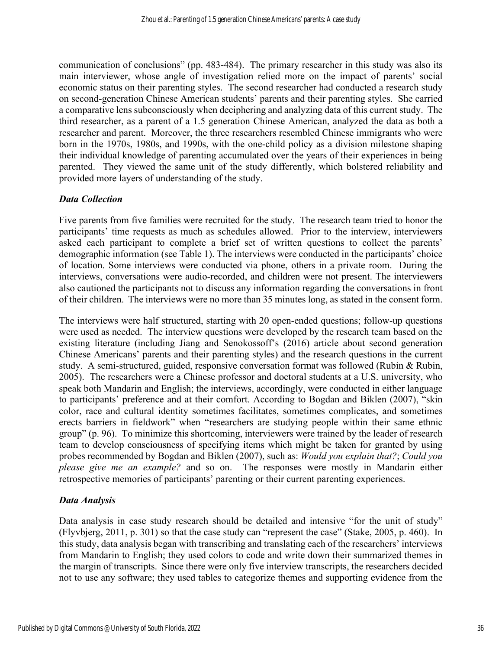communication of conclusions" (pp. 483-484). The primary researcher in this study was also its main interviewer, whose angle of investigation relied more on the impact of parents' social economic status on their parenting styles. The second researcher had conducted a research study on second-generation Chinese American students' parents and their parenting styles. She carried a comparative lens subconsciously when deciphering and analyzing data of this current study. The third researcher, as a parent of a 1.5 generation Chinese American, analyzed the data as both a researcher and parent. Moreover, the three researchers resembled Chinese immigrants who were born in the 1970s, 1980s, and 1990s, with the one-child policy as a division milestone shaping their individual knowledge of parenting accumulated over the years of their experiences in being parented. They viewed the same unit of the study differently, which bolstered reliability and provided more layers of understanding of the study.

# *Data Collection*

Five parents from five families were recruited for the study. The research team tried to honor the participants' time requests as much as schedules allowed. Prior to the interview, interviewers asked each participant to complete a brief set of written questions to collect the parents' demographic information (see Table 1). The interviews were conducted in the participants' choice of location. Some interviews were conducted via phone, others in a private room. During the interviews, conversations were audio-recorded, and children were not present. The interviewers also cautioned the participants not to discuss any information regarding the conversations in front of their children. The interviews were no more than 35 minutes long, as stated in the consent form.

The interviews were half structured, starting with 20 open-ended questions; follow-up questions were used as needed. The interview questions were developed by the research team based on the existing literature (including Jiang and Senokossoff's (2016) article about second generation Chinese Americans' parents and their parenting styles) and the research questions in the current study. A semi-structured, guided, responsive conversation format was followed (Rubin & Rubin, 2005). The researchers were a Chinese professor and doctoral students at a U.S. university, who speak both Mandarin and English; the interviews, accordingly, were conducted in either language to participants' preference and at their comfort. According to Bogdan and Biklen (2007), "skin color, race and cultural identity sometimes facilitates, sometimes complicates, and sometimes erects barriers in fieldwork" when "researchers are studying people within their same ethnic group" (p. 96). To minimize this shortcoming, interviewers were trained by the leader of research team to develop consciousness of specifying items which might be taken for granted by using probes recommended by Bogdan and Biklen (2007), such as: *Would you explain that?*; *Could you please give me an example?* and so on. The responses were mostly in Mandarin either retrospective memories of participants' parenting or their current parenting experiences.

# *Data Analysis*

Data analysis in case study research should be detailed and intensive "for the unit of study" (Flyvbjerg, 2011, p. 301) so that the case study can "represent the case" (Stake, 2005, p. 460). In this study, data analysis began with transcribing and translating each of the researchers' interviews from Mandarin to English; they used colors to code and write down their summarized themes in the margin of transcripts. Since there were only five interview transcripts, the researchers decided not to use any software; they used tables to categorize themes and supporting evidence from the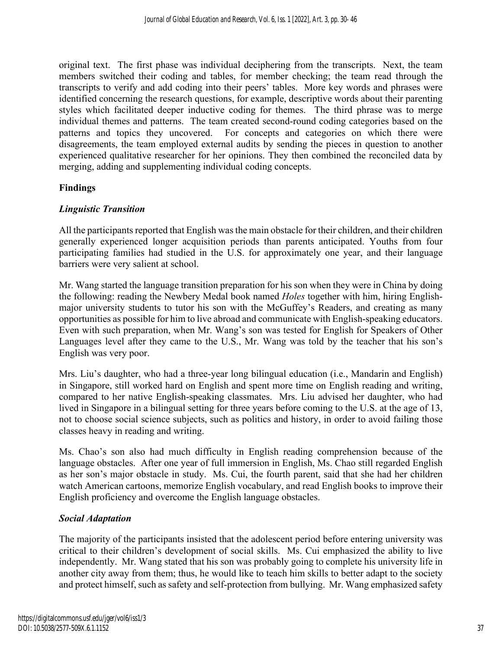original text. The first phase was individual deciphering from the transcripts. Next, the team members switched their coding and tables, for member checking; the team read through the transcripts to verify and add coding into their peers' tables. More key words and phrases were identified concerning the research questions, for example, descriptive words about their parenting styles which facilitated deeper inductive coding for themes. The third phrase was to merge individual themes and patterns. The team created second-round coding categories based on the patterns and topics they uncovered. For concepts and categories on which there were disagreements, the team employed external audits by sending the pieces in question to another experienced qualitative researcher for her opinions. They then combined the reconciled data by merging, adding and supplementing individual coding concepts.

# **Findings**

# *Linguistic Transition*

All the participants reported that English was the main obstacle for their children, and their children generally experienced longer acquisition periods than parents anticipated. Youths from four participating families had studied in the U.S. for approximately one year, and their language barriers were very salient at school.

Mr. Wang started the language transition preparation for his son when they were in China by doing the following: reading the Newbery Medal book named *Holes* together with him, hiring Englishmajor university students to tutor his son with the McGuffey's Readers, and creating as many opportunities as possible for him to live abroad and communicate with English-speaking educators. Even with such preparation, when Mr. Wang's son was tested for English for Speakers of Other Languages level after they came to the U.S., Mr. Wang was told by the teacher that his son's English was very poor.

Mrs. Liu's daughter, who had a three-year long bilingual education (i.e., Mandarin and English) in Singapore, still worked hard on English and spent more time on English reading and writing, compared to her native English-speaking classmates. Mrs. Liu advised her daughter, who had lived in Singapore in a bilingual setting for three years before coming to the U.S. at the age of 13, not to choose social science subjects, such as politics and history, in order to avoid failing those classes heavy in reading and writing.

Ms. Chao's son also had much difficulty in English reading comprehension because of the language obstacles. After one year of full immersion in English, Ms. Chao still regarded English as her son's major obstacle in study. Ms. Cui, the fourth parent, said that she had her children watch American cartoons, memorize English vocabulary, and read English books to improve their English proficiency and overcome the English language obstacles.

# *Social Adaptation*

The majority of the participants insisted that the adolescent period before entering university was critical to their children's development of social skills. Ms. Cui emphasized the ability to live independently. Mr. Wang stated that his son was probably going to complete his university life in another city away from them; thus, he would like to teach him skills to better adapt to the society and protect himself, such as safety and self-protection from bullying. Mr. Wang emphasized safety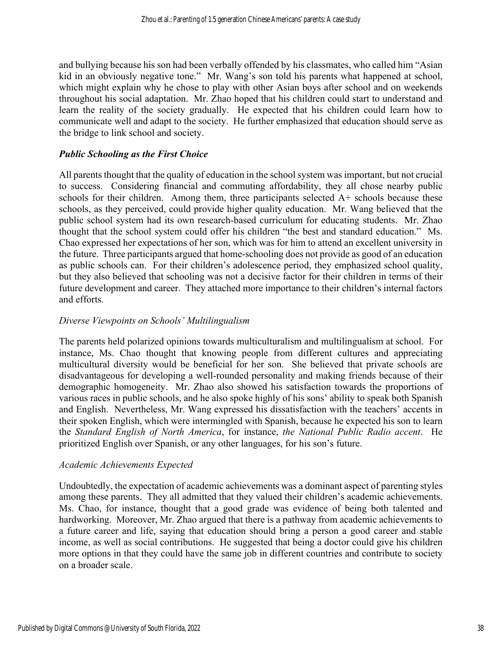and bullying because his son had been verbally offended by his classmates, who called him "Asian kid in an obviously negative tone." Mr. Wang's son told his parents what happened at school, which might explain why he chose to play with other Asian boys after school and on weekends throughout his social adaptation. Mr. Zhao hoped that his children could start to understand and learn the reality of the society gradually. He expected that his children could learn how to communicate well and adapt to the society. He further emphasized that education should serve as the bridge to link school and society.

# *Public Schooling as the First Choice*

All parents thought that the quality of education in the school system was important, but not crucial to success. Considering financial and commuting affordability, they all chose nearby public schools for their children. Among them, three participants selected A+ schools because these schools, as they perceived, could provide higher quality education. Mr. Wang believed that the public school system had its own research-based curriculum for educating students. Mr. Zhao thought that the school system could offer his children "the best and standard education." Ms. Chao expressed her expectations of her son, which was for him to attend an excellent university in the future. Three participants argued that home-schooling does not provide as good of an education as public schools can. For their children's adolescence period, they emphasized school quality, but they also believed that schooling was not a decisive factor for their children in terms of their future development and career. They attached more importance to their children's internal factors and efforts.

# *Diverse Viewpoints on Schools' Multilingualism*

The parents held polarized opinions towards multiculturalism and multilingualism at school. For instance, Ms. Chao thought that knowing people from different cultures and appreciating multicultural diversity would be beneficial for her son. She believed that private schools are disadvantageous for developing a well-rounded personality and making friends because of their demographic homogeneity. Mr. Zhao also showed his satisfaction towards the proportions of various races in public schools, and he also spoke highly of his sons' ability to speak both Spanish and English. Nevertheless, Mr. Wang expressed his dissatisfaction with the teachers' accents in their spoken English, which were intermingled with Spanish, because he expected his son to learn the *Standard English of North America*, for instance, *the National Public Radio accent*. He prioritized English over Spanish, or any other languages, for his son's future.

#### *Academic Achievements Expected*

Undoubtedly, the expectation of academic achievements was a dominant aspect of parenting styles among these parents. They all admitted that they valued their children's academic achievements. Ms. Chao, for instance, thought that a good grade was evidence of being both talented and hardworking. Moreover, Mr. Zhao argued that there is a pathway from academic achievements to a future career and life, saying that education should bring a person a good career and stable income, as well as social contributions. He suggested that being a doctor could give his children more options in that they could have the same job in different countries and contribute to society on a broader scale.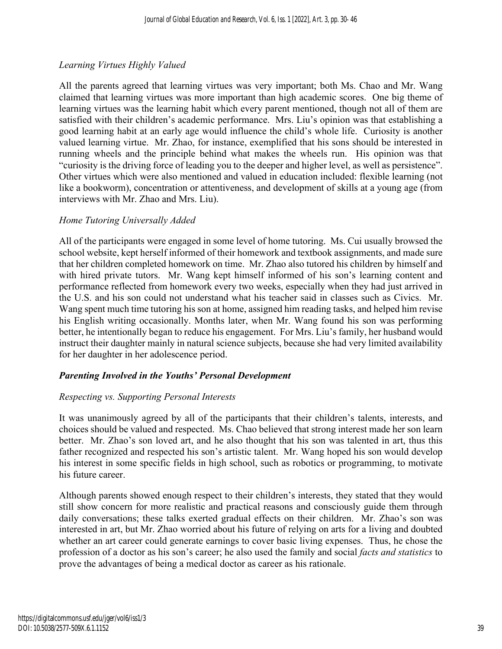# *Learning Virtues Highly Valued*

All the parents agreed that learning virtues was very important; both Ms. Chao and Mr. Wang claimed that learning virtues was more important than high academic scores. One big theme of learning virtues was the learning habit which every parent mentioned, though not all of them are satisfied with their children's academic performance. Mrs. Liu's opinion was that establishing a good learning habit at an early age would influence the child's whole life. Curiosity is another valued learning virtue. Mr. Zhao, for instance, exemplified that his sons should be interested in running wheels and the principle behind what makes the wheels run. His opinion was that "curiosity is the driving force of leading you to the deeper and higher level, as well as persistence". Other virtues which were also mentioned and valued in education included: flexible learning (not like a bookworm), concentration or attentiveness, and development of skills at a young age (from interviews with Mr. Zhao and Mrs. Liu).

# *Home Tutoring Universally Added*

All of the participants were engaged in some level of home tutoring. Ms. Cui usually browsed the school website, kept herself informed of their homework and textbook assignments, and made sure that her children completed homework on time. Mr. Zhao also tutored his children by himself and with hired private tutors. Mr. Wang kept himself informed of his son's learning content and performance reflected from homework every two weeks, especially when they had just arrived in the U.S. and his son could not understand what his teacher said in classes such as Civics. Mr. Wang spent much time tutoring his son at home, assigned him reading tasks, and helped him revise his English writing occasionally. Months later, when Mr. Wang found his son was performing better, he intentionally began to reduce his engagement. For Mrs. Liu's family, her husband would instruct their daughter mainly in natural science subjects, because she had very limited availability for her daughter in her adolescence period.

# *Parenting Involved in the Youths' Personal Development*

# *Respecting vs. Supporting Personal Interests*

It was unanimously agreed by all of the participants that their children's talents, interests, and choices should be valued and respected. Ms. Chao believed that strong interest made her son learn better. Mr. Zhao's son loved art, and he also thought that his son was talented in art, thus this father recognized and respected his son's artistic talent. Mr. Wang hoped his son would develop his interest in some specific fields in high school, such as robotics or programming, to motivate his future career.

Although parents showed enough respect to their children's interests, they stated that they would still show concern for more realistic and practical reasons and consciously guide them through daily conversations; these talks exerted gradual effects on their children. Mr. Zhao's son was interested in art, but Mr. Zhao worried about his future of relying on arts for a living and doubted whether an art career could generate earnings to cover basic living expenses. Thus, he chose the profession of a doctor as his son's career; he also used the family and social *facts and statistics* to prove the advantages of being a medical doctor as career as his rationale.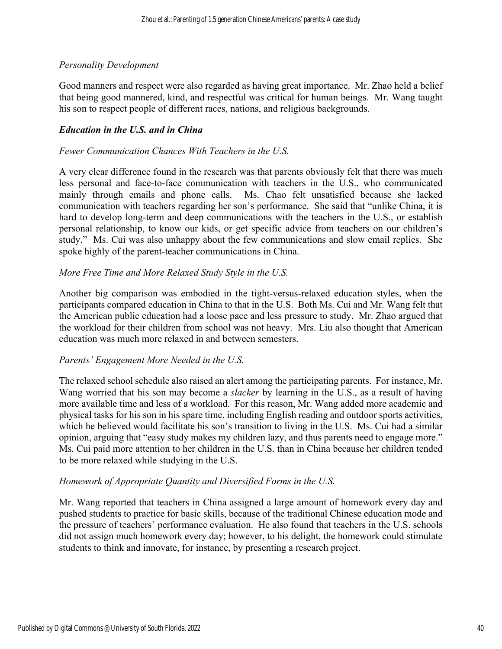# *Personality Development*

Good manners and respect were also regarded as having great importance. Mr. Zhao held a belief that being good mannered, kind, and respectful was critical for human beings. Mr. Wang taught his son to respect people of different races, nations, and religious backgrounds.

# *Education in the U.S. and in China*

# *Fewer Communication Chances With Teachers in the U.S.*

A very clear difference found in the research was that parents obviously felt that there was much less personal and face-to-face communication with teachers in the U.S., who communicated mainly through emails and phone calls. Ms. Chao felt unsatisfied because she lacked communication with teachers regarding her son's performance. She said that "unlike China, it is hard to develop long-term and deep communications with the teachers in the U.S., or establish personal relationship, to know our kids, or get specific advice from teachers on our children's study." Ms. Cui was also unhappy about the few communications and slow email replies. She spoke highly of the parent-teacher communications in China.

# *More Free Time and More Relaxed Study Style in the U.S.*

Another big comparison was embodied in the tight-versus-relaxed education styles, when the participants compared education in China to that in the U.S. Both Ms. Cui and Mr. Wang felt that the American public education had a loose pace and less pressure to study. Mr. Zhao argued that the workload for their children from school was not heavy. Mrs. Liu also thought that American education was much more relaxed in and between semesters.

# *Parents' Engagement More Needed in the U.S.*

The relaxed school schedule also raised an alert among the participating parents. For instance, Mr. Wang worried that his son may become a *slacker* by learning in the U.S., as a result of having more available time and less of a workload. For this reason, Mr. Wang added more academic and physical tasks for his son in his spare time, including English reading and outdoor sports activities, which he believed would facilitate his son's transition to living in the U.S. Ms. Cui had a similar opinion, arguing that "easy study makes my children lazy, and thus parents need to engage more." Ms. Cui paid more attention to her children in the U.S. than in China because her children tended to be more relaxed while studying in the U.S.

# *Homework of Appropriate Quantity and Diversified Forms in the U.S.*

Mr. Wang reported that teachers in China assigned a large amount of homework every day and pushed students to practice for basic skills, because of the traditional Chinese education mode and the pressure of teachers' performance evaluation. He also found that teachers in the U.S. schools did not assign much homework every day; however, to his delight, the homework could stimulate students to think and innovate, for instance, by presenting a research project.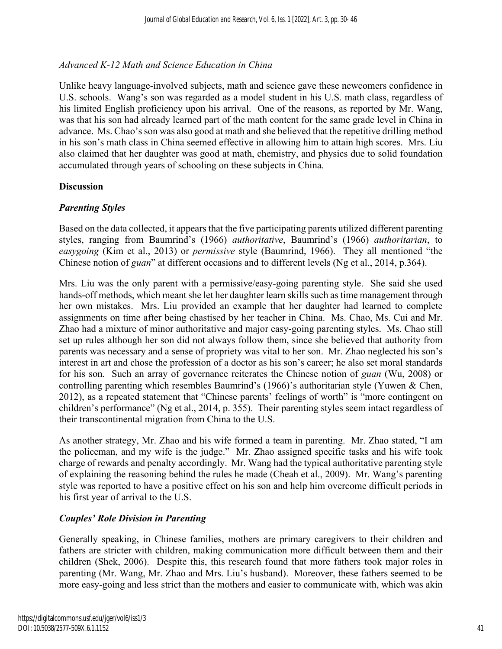# *Advanced K-12 Math and Science Education in China*

Unlike heavy language-involved subjects, math and science gave these newcomers confidence in U.S. schools. Wang's son was regarded as a model student in his U.S. math class, regardless of his limited English proficiency upon his arrival. One of the reasons, as reported by Mr. Wang, was that his son had already learned part of the math content for the same grade level in China in advance. Ms. Chao's son was also good at math and she believed that the repetitive drilling method in his son's math class in China seemed effective in allowing him to attain high scores. Mrs. Liu also claimed that her daughter was good at math, chemistry, and physics due to solid foundation accumulated through years of schooling on these subjects in China.

# **Discussion**

# *Parenting Styles*

Based on the data collected, it appears that the five participating parents utilized different parenting styles, ranging from Baumrind's (1966) *authoritative*, Baumrind's (1966) *authoritarian*, to *easygoing* (Kim et al., 2013) or *permissive* style (Baumrind, 1966). They all mentioned "the Chinese notion of *guan*" at different occasions and to different levels (Ng et al., 2014, p.364).

Mrs. Liu was the only parent with a permissive/easy-going parenting style. She said she used hands-off methods, which meant she let her daughter learn skills such as time management through her own mistakes. Mrs. Liu provided an example that her daughter had learned to complete assignments on time after being chastised by her teacher in China. Ms. Chao, Ms. Cui and Mr. Zhao had a mixture of minor authoritative and major easy-going parenting styles. Ms. Chao still set up rules although her son did not always follow them, since she believed that authority from parents was necessary and a sense of propriety was vital to her son. Mr. Zhao neglected his son's interest in art and chose the profession of a doctor as his son's career; he also set moral standards for his son. Such an array of governance reiterates the Chinese notion of *guan* (Wu, 2008) or controlling parenting which resembles Baumrind's (1966)'s authoritarian style (Yuwen & Chen, 2012), as a repeated statement that "Chinese parents' feelings of worth" is "more contingent on children's performance" (Ng et al., 2014, p. 355). Their parenting styles seem intact regardless of their transcontinental migration from China to the U.S.

As another strategy, Mr. Zhao and his wife formed a team in parenting. Mr. Zhao stated, "I am the policeman, and my wife is the judge." Mr. Zhao assigned specific tasks and his wife took charge of rewards and penalty accordingly. Mr. Wang had the typical authoritative parenting style of explaining the reasoning behind the rules he made (Cheah et al., 2009). Mr. Wang's parenting style was reported to have a positive effect on his son and help him overcome difficult periods in his first year of arrival to the U.S.

# *Couples' Role Division in Parenting*

Generally speaking, in Chinese families, mothers are primary caregivers to their children and fathers are stricter with children, making communication more difficult between them and their children (Shek, 2006). Despite this, this research found that more fathers took major roles in parenting (Mr. Wang, Mr. Zhao and Mrs. Liu's husband). Moreover, these fathers seemed to be more easy-going and less strict than the mothers and easier to communicate with, which was akin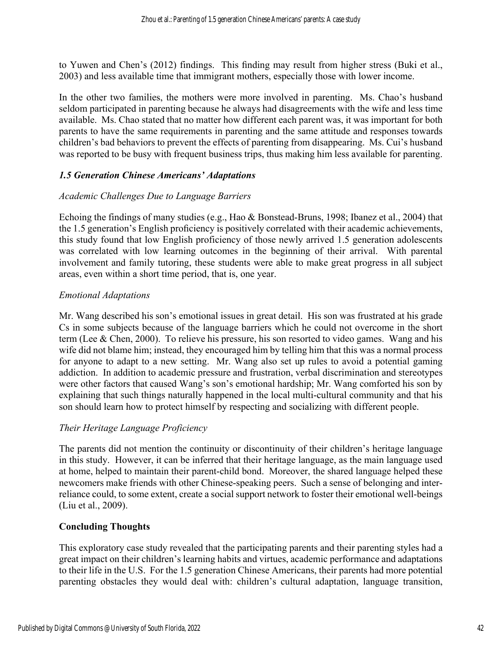to Yuwen and Chen's (2012) findings. This finding may result from higher stress (Buki et al., 2003) and less available time that immigrant mothers, especially those with lower income.

In the other two families, the mothers were more involved in parenting. Ms. Chao's husband seldom participated in parenting because he always had disagreements with the wife and less time available. Ms. Chao stated that no matter how different each parent was, it was important for both parents to have the same requirements in parenting and the same attitude and responses towards children's bad behaviors to prevent the effects of parenting from disappearing. Ms. Cui's husband was reported to be busy with frequent business trips, thus making him less available for parenting.

# *1.5 Generation Chinese Americans' Adaptations*

# *Academic Challenges Due to Language Barriers*

Echoing the findings of many studies (e.g., Hao & Bonstead-Bruns, 1998; Ibanez et al., 2004) that the 1.5 generation's English proficiency is positively correlated with their academic achievements, this study found that low English proficiency of those newly arrived 1.5 generation adolescents was correlated with low learning outcomes in the beginning of their arrival. With parental involvement and family tutoring, these students were able to make great progress in all subject areas, even within a short time period, that is, one year.

# *Emotional Adaptations*

Mr. Wang described his son's emotional issues in great detail. His son was frustrated at his grade Cs in some subjects because of the language barriers which he could not overcome in the short term (Lee & Chen, 2000). To relieve his pressure, his son resorted to video games. Wang and his wife did not blame him; instead, they encouraged him by telling him that this was a normal process for anyone to adapt to a new setting. Mr. Wang also set up rules to avoid a potential gaming addiction. In addition to academic pressure and frustration, verbal discrimination and stereotypes were other factors that caused Wang's son's emotional hardship; Mr. Wang comforted his son by explaining that such things naturally happened in the local multi-cultural community and that his son should learn how to protect himself by respecting and socializing with different people.

# *Their Heritage Language Proficiency*

The parents did not mention the continuity or discontinuity of their children's heritage language in this study. However, it can be inferred that their heritage language, as the main language used at home, helped to maintain their parent-child bond. Moreover, the shared language helped these newcomers make friends with other Chinese-speaking peers. Such a sense of belonging and interreliance could, to some extent, create a social support network to foster their emotional well-beings (Liu et al., 2009).

# **Concluding Thoughts**

This exploratory case study revealed that the participating parents and their parenting styles had a great impact on their children's learning habits and virtues, academic performance and adaptations to their life in the U.S. For the 1.5 generation Chinese Americans, their parents had more potential parenting obstacles they would deal with: children's cultural adaptation, language transition,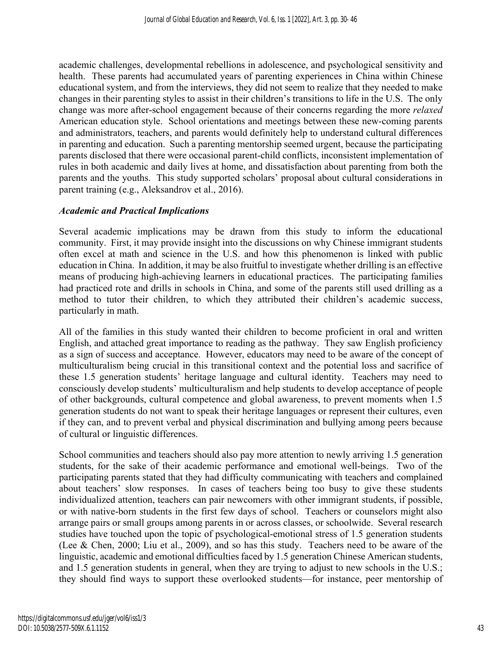academic challenges, developmental rebellions in adolescence, and psychological sensitivity and health. These parents had accumulated years of parenting experiences in China within Chinese educational system, and from the interviews, they did not seem to realize that they needed to make changes in their parenting styles to assist in their children's transitions to life in the U.S. The only change was more after-school engagement because of their concerns regarding the more *relaxed* American education style. School orientations and meetings between these new-coming parents and administrators, teachers, and parents would definitely help to understand cultural differences in parenting and education. Such a parenting mentorship seemed urgent, because the participating parents disclosed that there were occasional parent-child conflicts, inconsistent implementation of rules in both academic and daily lives at home, and dissatisfaction about parenting from both the parents and the youths. This study supported scholars' proposal about cultural considerations in parent training (e.g., Aleksandrov et al., 2016).

# *Academic and Practical Implications*

Several academic implications may be drawn from this study to inform the educational community. First, it may provide insight into the discussions on why Chinese immigrant students often excel at math and science in the U.S. and how this phenomenon is linked with public education in China. In addition, it may be also fruitful to investigate whether drilling is an effective means of producing high-achieving learners in educational practices. The participating families had practiced rote and drills in schools in China, and some of the parents still used drilling as a method to tutor their children, to which they attributed their children's academic success, particularly in math.

All of the families in this study wanted their children to become proficient in oral and written English, and attached great importance to reading as the pathway. They saw English proficiency as a sign of success and acceptance. However, educators may need to be aware of the concept of multiculturalism being crucial in this transitional context and the potential loss and sacrifice of these 1.5 generation students' heritage language and cultural identity. Teachers may need to consciously develop students' multiculturalism and help students to develop acceptance of people of other backgrounds, cultural competence and global awareness, to prevent moments when 1.5 generation students do not want to speak their heritage languages or represent their cultures, even if they can, and to prevent verbal and physical discrimination and bullying among peers because of cultural or linguistic differences.

School communities and teachers should also pay more attention to newly arriving 1.5 generation students, for the sake of their academic performance and emotional well-beings. Two of the participating parents stated that they had difficulty communicating with teachers and complained about teachers' slow responses. In cases of teachers being too busy to give these students individualized attention, teachers can pair newcomers with other immigrant students, if possible, or with native-born students in the first few days of school. Teachers or counselors might also arrange pairs or small groups among parents in or across classes, or schoolwide. Several research studies have touched upon the topic of psychological-emotional stress of 1.5 generation students (Lee & Chen, 2000; Liu et al., 2009), and so has this study. Teachers need to be aware of the linguistic, academic and emotional difficulties faced by 1.5 generation Chinese American students, and 1.5 generation students in general, when they are trying to adjust to new schools in the U.S.; they should find ways to support these overlooked students—for instance, peer mentorship of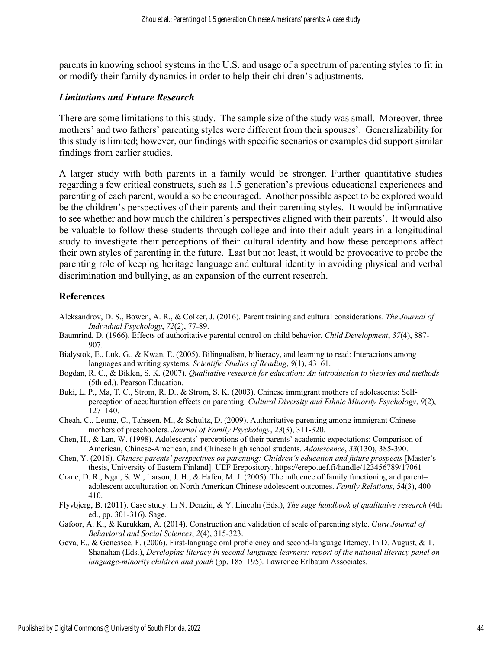parents in knowing school systems in the U.S. and usage of a spectrum of parenting styles to fit in or modify their family dynamics in order to help their children's adjustments.

#### *Limitations and Future Research*

There are some limitations to this study. The sample size of the study was small. Moreover, three mothers' and two fathers' parenting styles were different from their spouses'. Generalizability for this study is limited; however, our findings with specific scenarios or examples did support similar findings from earlier studies.

A larger study with both parents in a family would be stronger. Further quantitative studies regarding a few critical constructs, such as 1.5 generation's previous educational experiences and parenting of each parent, would also be encouraged. Another possible aspect to be explored would be the children's perspectives of their parents and their parenting styles. It would be informative to see whether and how much the children's perspectives aligned with their parents'. It would also be valuable to follow these students through college and into their adult years in a longitudinal study to investigate their perceptions of their cultural identity and how these perceptions affect their own styles of parenting in the future. Last but not least, it would be provocative to probe the parenting role of keeping heritage language and cultural identity in avoiding physical and verbal discrimination and bullying, as an expansion of the current research.

#### **References**

- Aleksandrov, D. S., Bowen, A. R., & Colker, J. (2016). Parent training and cultural considerations. *The Journal of Individual Psychology*, *72*(2), 77-89.
- Baumrind, D. (1966). Effects of authoritative parental control on child behavior. *Child Development*, *37*(4), 887- 907.
- Bialystok, E., Luk, G., & Kwan, E. (2005). Bilingualism, biliteracy, and learning to read: Interactions among languages and writing systems. *Scientific Studies of Reading*, *9*(1), 43–61.
- Bogdan, R. C., & Biklen, S. K. (2007). *Qualitative research for education: An introduction to theories and methods* (5th ed.). Pearson Education.
- Buki, L. P., Ma, T. C., Strom, R. D., & Strom, S. K. (2003). Chinese immigrant mothers of adolescents: Selfperception of acculturation effects on parenting. *Cultural Diversity and Ethnic Minority Psychology*, *9*(2), 127–140.
- Cheah, C., Leung, C., Tahseen, M., & Schultz, D. (2009). Authoritative parenting among immigrant Chinese mothers of preschoolers. *Journal of Family Psychology*, *23*(3), 311-320.
- Chen, H., & Lan, W. (1998). Adolescents' perceptions of their parents' academic expectations: Comparison of American, Chinese-American, and Chinese high school students. *Adolescence*, *33*(130), 385-390.
- Chen, Y. (2016). *Chinese parents' perspectives on parenting: Children's education and future prospects* [Master's thesis, University of Eastern Finland]. UEF Erepository. https://erepo.uef.fi/handle/123456789/17061
- Crane, D. R., Ngai, S. W., Larson, J. H., & Hafen, M. J. (2005). The influence of family functioning and parent– adolescent acculturation on North American Chinese adolescent outcomes. *Family Relations*, 54(3), 400– 410.
- Flyvbjerg, B. (2011). Case study. In N. Denzin, & Y. Lincoln (Eds.), *The sage handbook of qualitative research* (4th ed., pp. 301-316). Sage.
- Gafoor, A. K., & Kurukkan, A. (2014). Construction and validation of scale of parenting style. *Guru Journal of Behavioral and Social Sciences*, *2*(4), 315-323.
- Geva, E., & Genessee, F. (2006). First-language oral proficiency and second-language literacy. In D. August, & T. Shanahan (Eds.), *Developing literacy in second-language learners: report of the national literacy panel on language-minority children and youth* (pp. 185–195). Lawrence Erlbaum Associates.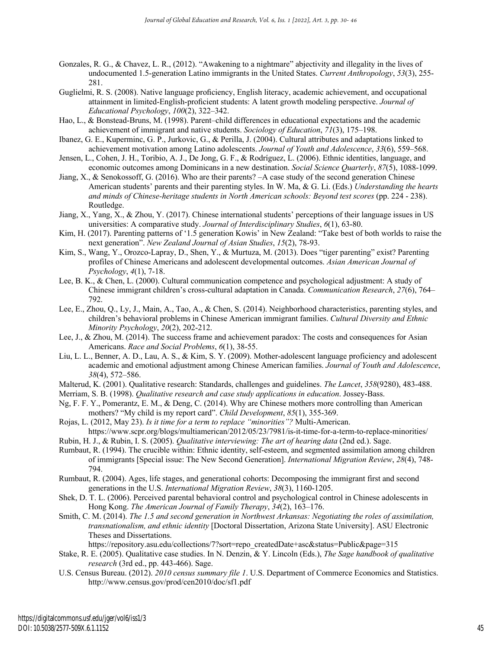- Gonzales, R. G., & Chavez, L. R., (2012). "Awakening to a nightmare" abjectivity and illegality in the lives of undocumented 1.5-generation Latino immigrants in the United States. *Current Anthropology*, *53*(3), 255- 281.
- Guglielmi, R. S. (2008). Native language proficiency, English literacy, academic achievement, and occupational attainment in limited-English-proficient students: A latent growth modeling perspective. *Journal of Educational Psychology*, *100*(2), 322–342.
- Hao, L., & Bonstead-Bruns, M. (1998). Parent–child differences in educational expectations and the academic achievement of immigrant and native students. *Sociology of Education*, *71*(3), 175–198.
- Ibanez, G. E., Kuperminc, G. P., Jurkovic, G., & Perilla, J. (2004). Cultural attributes and adaptations linked to achievement motivation among Latino adolescents. *Journal of Youth and Adolescence*, *33*(6), 559–568.
- Jensen, L., Cohen, J. H., Toribio, A. J., De Jong, G. F., & Rodríguez, L. (2006). Ethnic identities, language, and economic outcomes among Dominicans in a new destination. *Social Science Quarterly*, *87*(5), 1088-1099.
- Jiang, X., & Senokossoff, G. (2016). Who are their parents? –A case study of the second generation Chinese American students' parents and their parenting styles. In W. Ma, & G. Li. (Eds.) *Understanding the hearts and minds of Chinese-heritage students in North American schools: Beyond test scores* (pp. 224 - 238). Routledge.
- Jiang, X., Yang, X., & Zhou, Y. (2017). Chinese international students' perceptions of their language issues in US universities: A comparative study. *Journal of Interdisciplinary Studies*, *6*(1), 63-80.
- Kim, H. (2017). Parenting patterns of '1.5 generation Kowis' in New Zealand: "Take best of both worlds to raise the next generation". *New Zealand Journal of Asian Studies*, *15*(2), 78-93.
- Kim, S., Wang, Y., Orozco-Lapray, D., Shen, Y., & Murtuza, M. (2013). Does "tiger parenting" exist? Parenting profiles of Chinese Americans and adolescent developmental outcomes. *Asian American Journal of Psychology*, *4*(1), 7-18.
- Lee, B. K., & Chen, L. (2000). Cultural communication competence and psychological adjustment: A study of Chinese immigrant children's cross-cultural adaptation in Canada. *Communication Research*, *27*(6), 764– 792.
- Lee, E., Zhou, Q., Ly, J., Main, A., Tao, A., & Chen, S. (2014). Neighborhood characteristics, parenting styles, and children's behavioral problems in Chinese American immigrant families. *Cultural Diversity and Ethnic Minority Psychology*, *20*(2), 202-212.
- Lee, J., & Zhou, M. (2014). The success frame and achievement paradox: The costs and consequences for Asian Americans. *Race and Social Problems*, *6*(1), 38-55.
- Liu, L. L., Benner, A. D., Lau, A. S., & Kim, S. Y. (2009). Mother-adolescent language proficiency and adolescent academic and emotional adjustment among Chinese American families. *Journal of Youth and Adolescence*, *38*(4), 572–586.
- Malterud, K. (2001). Qualitative research: Standards, challenges and guidelines. *The Lancet*, *358*(9280), 483-488.
- Merriam, S. B. (1998). *Qualitative research and case study applications in education*. Jossey-Bass.
- Ng, F. F. Y., Pomerantz, E. M., & Deng, C. (2014). Why are Chinese mothers more controlling than American mothers? "My child is my report card". *Child Development*, *85*(1), 355-369.
- Rojas, L. (2012, May 23). *Is it time for a term to replace "minorities"?* Multi-American. https://www.scpr.org/blogs/multiamerican/2012/05/23/7981/is-it-time-for-a-term-to-replace-minorities/
- Rubin, H. J., & Rubin, I. S. (2005). *Qualitative interviewing: The art of hearing data* (2nd ed.). Sage.
- Rumbaut, R. (1994). The crucible within: Ethnic identity, self-esteem, and segmented assimilation among children of immigrants [Special issue: The New Second Generation]. *International Migration Review*, *28*(4), 748- 794.
- Rumbaut, R. (2004). Ages, life stages, and generational cohorts: Decomposing the immigrant first and second generations in the U.S. *International Migration Review*, *38*(3), 1160-1205.
- Shek, D. T. L. (2006). Perceived parental behavioral control and psychological control in Chinese adolescents in Hong Kong. *The American Journal of Family Therapy*, *34*(2), 163–176.
- Smith, C. M. (2014). *The 1.5 and second generation in Northwest Arkansas: Negotiating the roles of assimilation, transnationalism, and ethnic identity* [Doctoral Dissertation, Arizona State University]. ASU Electronic Theses and Dissertations.

https://repository.asu.edu/collections/7?sort=repo\_createdDate+asc&status=Public&page=315

- Stake, R. E. (2005). Qualitative case studies. In N. Denzin, & Y. Lincoln (Eds.), *The Sage handbook of qualitative research* (3rd ed., pp. 443-466). Sage.
- U.S. Census Bureau. (2012). *2010 census summary file 1*. U.S. Department of Commerce Economics and Statistics. http://www.census.gov/prod/cen2010/doc/sf1.pdf